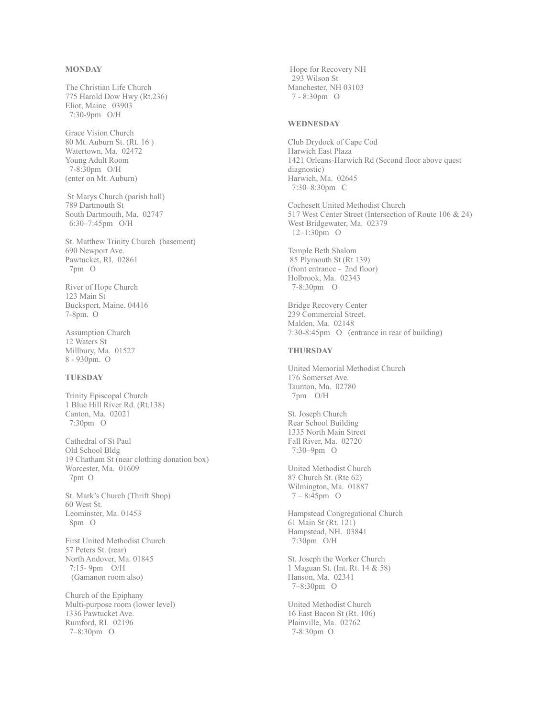## **MONDAY**

The Christian Life Church 775 Harold Dow Hwy (Rt.236) Eliot, Maine 03903 7:30-9pm O/H

Grace Vision Church 80 Mt. Auburn St. (Rt. 16 ) Watertown, Ma. 02472 Young Adult Room 7-8:30pm O/H (enter on Mt. Auburn)

 St Marys Church (parish hall) 789 Dartmouth St South Dartmouth, Ma. 02747 6:30–7:45pm O/H

St. Matthew Trinity Church (basement) 690 Newport Ave. Pawtucket, RI. 02861 7pm O

River of Hope Church 123 Main St Bucksport, Maine. 04416 7-8pm. O

Assumption Church 12 Waters St Millbury, Ma. 01527 8 - 930pm. O

# **TUESDAY**

Trinity Episcopal Church 1 Blue Hill River Rd. (Rt.138) Canton, Ma. 02021 7:30pm O

Cathedral of St Paul Old School Bldg 19 Chatham St (near clothing donation box) Worcester, Ma. 01609 7pm O

St. Mark's Church (Thrift Shop) 60 West St. Leominster, Ma. 01453 8pm O

First United Methodist Church 57 Peters St. (rear) North Andover, Ma. 01845 7:15- 9pm O/H (Gamanon room also)

Church of the Epiphany Multi-purpose room (lower level) 1336 Pawtucket Ave. Rumford, RI. 02196 7–8:30pm O

 Hope for Recovery NH 293 Wilson St Manchester, NH 03103 7 - 8:30pm O

#### **WEDNESDAY**

Club Drydock of Cape Cod Harwich East Plaza 1421 Orleans-Harwich Rd (Second floor above quest diagnostic) Harwich, Ma. 02645 7:30–8:30pm C

Cochesett United Methodist Church 517 West Center Street (Intersection of Route 106 & 24) West Bridgewater, Ma. 02379 12–1:30pm O

Temple Beth Shalom  [8](https://www.google.com/maps/place/85+Plymouth+St,+Holbrook,+MA+02343/@42.1547689,-71.0067072,17z/data=!3m1!4b1!4m2!3m1!1s0x89e482d5b9b3855f:0xbe1348d9b25dda6b)5 Plymouth St (Rt 139) (front entrance - 2nd floor) Holbrook, Ma. 02343 7-8:30pm O

Bridge Recovery Center 239 Commercial Street. Malden, Ma. 02148 7:30-8:45pm O (entrance in rear of building)

## **THURSDAY**

United Memorial Methodist Church 176 Somerset Ave. Taunton, Ma. 02780 7pm O/H

St. Joseph Church Rear School Building 1335 North Main Street Fall River, Ma. 02720 7:30–9pm O

United Methodist Church 87 Church St. (Rte 62) Wilmington, Ma. 01887 7 – 8:45pm O

Hampstead Congregational Church 61 Main St (Rt. 121) Hampstead, NH. 03841 7:30pm O/H

St. Joseph the Worker Church 1 Maguan St. (Int. Rt. 14 & 58) Hanson, Ma. 02341 7–8:30pm O

United Methodist Church 16 East Bacon St (Rt. 106) Plainville, Ma. 02762 7-8:30pm O